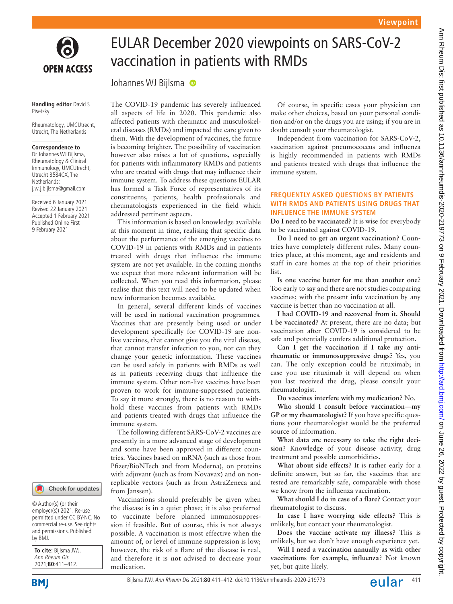

**Handling editor** David S Pisetsky

Rheumatology, UMCUtrecht, Utrecht, The Netherlands

### **Correspondence to**

Dr Johannes WJ Bijlsma, Rheumatology & Clinical Immunology, UMCUtrecht, Utrecht 3584CX, The Netherlands; j.w.j.bijlsma@gmail.com

Received 6 January 2021 Revised 22 January 2021 Accepted 1 February 2021 Published Online First 9 February 2021

#### Check for updates

© Author(s) (or their employer(s)) 2021. Re-use permitted under CC BY-NC. No commercial re-use. See rights and permissions. Published by BMJ.

**To cite:** Bijlsma JWJ. Ann Rheum Dis 2021;**80**:411–412.

**BMI** 

# EULAR December 2020 viewpoints on SARS-CoV-2 vaccination in patients with RMDs

Johannes WJ Bijlsma

The COVID-19 pandemic has severely influenced all aspects of life in 2020. This pandemic also affected patients with rheumatic and musculoskeletal diseases (RMDs) and impacted the care given to them. With the development of vaccines, the future is becoming brighter. The possibility of vaccination however also raises a lot of questions, especially for patients with inflammatory RMDs and patients who are treated with drugs that may influence their immune system. To address these questions EULAR has formed a Task Force of representatives of its constituents, patients, health professionals and rheumatologists experienced in the field which addressed pertinent aspects.

This information is based on knowledge available at this moment in time, realising that specific data about the performance of the emerging vaccines to COVID-19 in patients with RMDs and in patients treated with drugs that influence the immune system are not yet available. In the coming months we expect that more relevant information will be collected. When you read this information, please realise that this text will need to be updated when new information becomes available.

In general, several different kinds of vaccines will be used in national vaccination programmes. Vaccines that are presently being used or under development specifically for COVID-19 are nonlive vaccines, that cannot give you the viral disease, that cannot transfer infection to you, nor can they change your genetic information. These vaccines can be used safely in patients with RMDs as well as in patients receiving drugs that influence the immune system. Other non-live vaccines have been proven to work for immune-suppressed patients. To say it more strongly, there is no reason to withhold these vaccines from patients with RMDs and patients treated with drugs that influence the immune system.

The following different SARS-CoV-2 vaccines are presently in a more advanced stage of development and some have been approved in different countries. Vaccines based on mRNA (such as those from Pfizer/BioNTech and from Moderna), on proteins with adjuvant (such as from Novavax) and on nonreplicable vectors (such as from AstraZeneca and from Janssen).

Vaccinations should preferably be given when the disease is in a quiet phase; it is also preferred to vaccinate before planned immunosuppression if feasible. But of course, this is not always possible. A vaccination is most effective when the amount of, or level of immune suppression is low; however, the risk of a flare of the disease is real, and therefore it is **not** advised to decrease your medication.

Of course, in specific cases your physician can make other choices, based on your personal condition and/or on the drugs you are using; if you are in doubt consult your rheumatologist.

Independent from vaccination for SARS-CoV-2, vaccination against pneumococcus and influenza is highly recommended in patients with RMDs and patients treated with drugs that influence the immune system.

### **FREQUENTLY ASKED QUESTIONS BY PATIENTS WITH RMDS AND PATIENTS USING DRUGS THAT INFLUENCE THE IMMUNE SYSTEM**

**Do I need to be vaccinated?** It is wise for everybody to be vaccinated against COVID-19.

**Do I need to get an urgent vaccination?** Countries have completely different rules. Many countries place, at this moment, age and residents and staff in care homes at the top of their priorities list.

**Is one vaccine better for me than another one?** Too early to say and there are not studies comparing vaccines; with the present info vaccination by any vaccine is better than no vaccination at all.

**I had COVID-19 and recovered from it. Should I be vaccinated?** At present, there are no data; but vaccination after COVID-19 is considered to be safe and potentially confers additional protection.

**Can I get the vaccination if I take my antirheumatic or immunosuppressive drugs?** Yes, you can. The only exception could be rituximab; in case you use rituximab it will depend on when you last received the drug, please consult your rheumatologist.

**Do vaccines interfere with my medication?** No.

**Who should I consult before vaccination—my GP or my rheumatologist?** If you have specific questions your rheumatologist would be the preferred source of information.

**What data are necessary to take the right decision?** Knowledge of your disease activity, drug treatment and possible comorbidities.

**What about side effects?** It is rather early for a definite answer, but so far, the vaccines that are tested are remarkably safe, comparable with those we know from the influenza vaccination.

**What should I do in case of a flare?** Contact your rheumatologist to discuss.

**In case I have worrying side effects?** This is unlikely, but contact your rheumatologist.

**Does the vaccine activate my illness?** This is unlikely, but we don't have enough experience yet.

**Will I need a vaccination annually as with other vaccinations for example, influenza**? Not known yet, but quite likely.